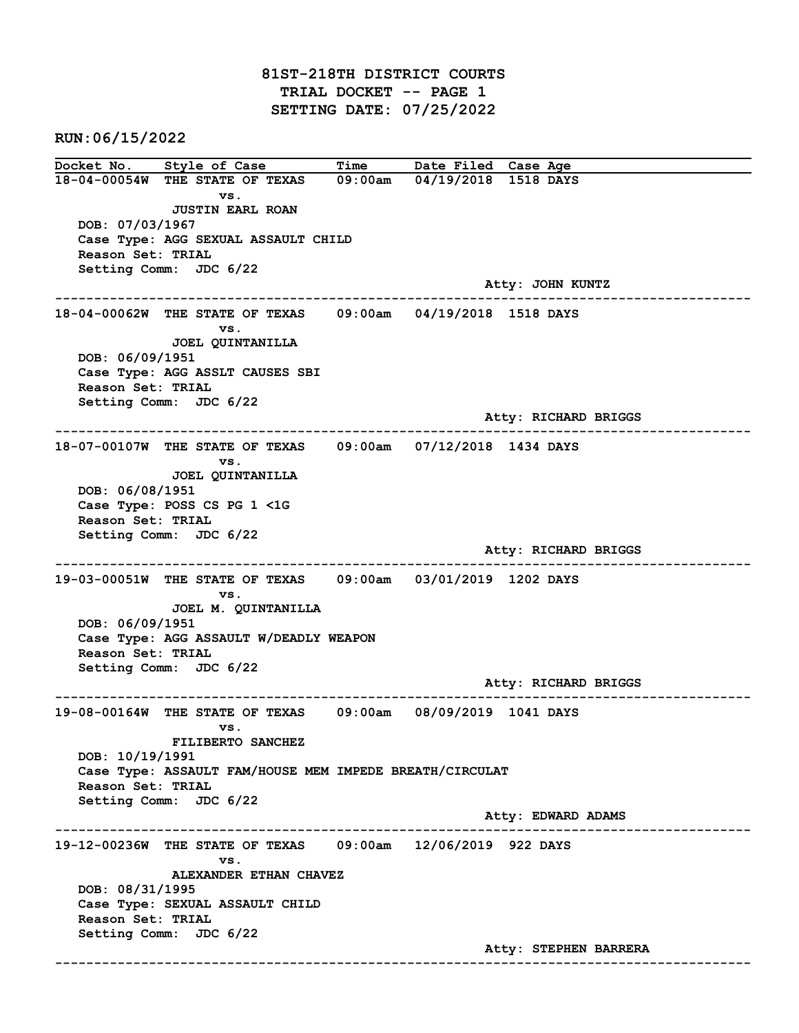81ST-218TH DISTRICT COURTS TRIAL DOCKET -- PAGE 1 SETTING DATE: 07/25/2022

RUN:06/15/2022

Docket No. Style of Case Time Date Filed Case Age 18-04-00054W THE STATE OF TEXAS 09:00am 04/19/2018 1518 DAYS vs. JUSTIN EARL ROAN DOB: 07/03/1967 Case Type: AGG SEXUAL ASSAULT CHILD Reason Set: TRIAL Setting Comm: JDC 6/22 Atty: JOHN KUNTZ ------------------------------------------------------------------------------------------------------------------------ 18-04-00062W THE STATE OF TEXAS 09:00am 04/19/2018 1518 DAYS vs. JOEL QUINTANILLA DOB: 06/09/1951 Case Type: AGG ASSLT CAUSES SBI Reason Set: TRIAL Setting Comm: JDC 6/22 Atty: RICHARD BRIGGS ------------------------------------------------------------------------------------------------------------------------ 18-07-00107W THE STATE OF TEXAS 09:00am 07/12/2018 1434 DAYS vs. JOEL QUINTANILLA DOB: 06/08/1951 Case Type: POSS CS PG 1 <1G Reason Set: TRIAL Setting Comm: JDC 6/22 Atty: RICHARD BRIGGS ------------------------------------------------------------------------------------------------------------------------ 19-03-00051W THE STATE OF TEXAS 09:00am 03/01/2019 1202 DAYS vs. JOEL M. QUINTANILLA DOB: 06/09/1951 Case Type: AGG ASSAULT W/DEADLY WEAPON Reason Set: TRIAL Setting Comm: JDC 6/22 Atty: RICHARD BRIGGS ------------------------------------------------------------------------------------------------------------------------ 19-08-00164W THE STATE OF TEXAS 09:00am 08/09/2019 1041 DAYS vs. FILIBERTO SANCHEZ DOB: 10/19/1991 Case Type: ASSAULT FAM/HOUSE MEM IMPEDE BREATH/CIRCULAT Reason Set: TRIAL Setting Comm: JDC 6/22 Atty: EDWARD ADAMS ------------------------------------------------------------------------------------------------------------------------ 19-12-00236W THE STATE OF TEXAS 09:00am 12/06/2019 922 DAYS vs. ALEXANDER ETHAN CHAVEZ DOB: 08/31/1995 Case Type: SEXUAL ASSAULT CHILD Reason Set: TRIAL Setting Comm: JDC 6/22 Atty: STEPHEN BARRERA ------------------------------------------------------------------------------------------------------------------------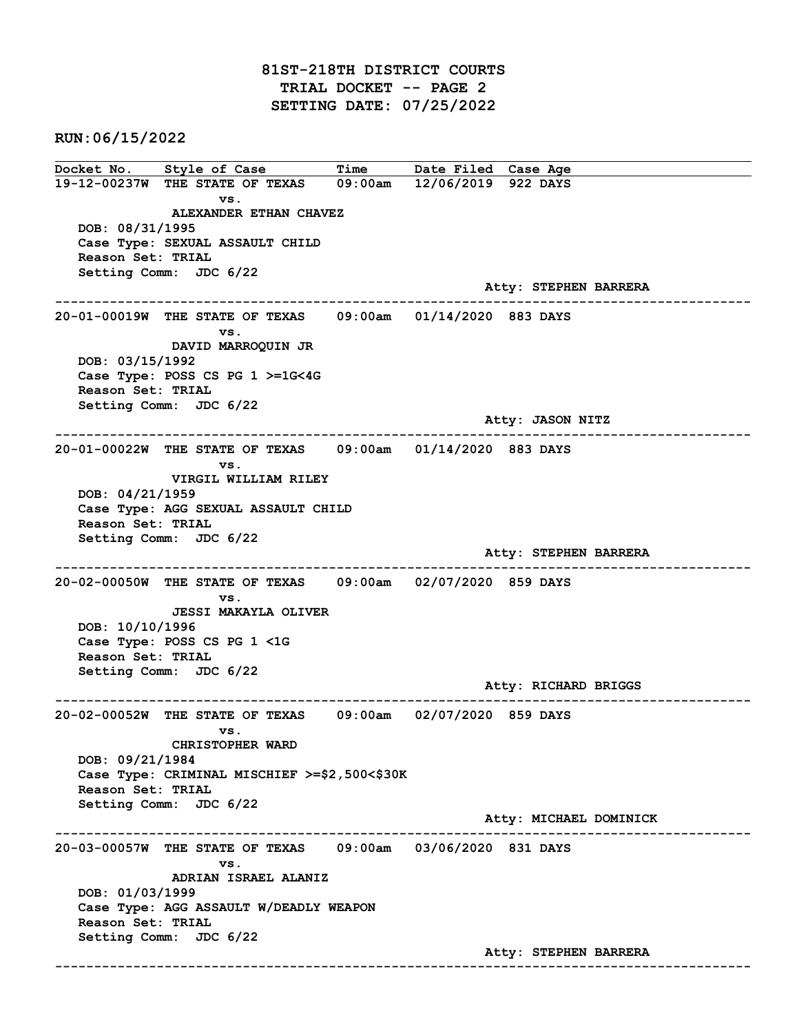## 81ST-218TH DISTRICT COURTS TRIAL DOCKET -- PAGE 2 SETTING DATE: 07/25/2022

RUN:06/15/2022

Docket No. Style of Case Time Date Filed Case Age 19-12-00237W THE STATE OF TEXAS 09:00am 12/06/2019 922 DAYS vs. ALEXANDER ETHAN CHAVEZ DOB: 08/31/1995 Case Type: SEXUAL ASSAULT CHILD Reason Set: TRIAL Setting Comm: JDC 6/22 Atty: STEPHEN BARRERA ------------------------------------------------------------------------------------------------------------------------ 20-01-00019W THE STATE OF TEXAS 09:00am 01/14/2020 883 DAYS vs. DAVID MARROQUIN JR DOB: 03/15/1992 Case Type: POSS CS PG 1 >=1G<4G Reason Set: TRIAL Setting Comm: JDC 6/22 Atty: JASON NITZ ------------------------------------------------------------------------------------------------------------------------ 20-01-00022W THE STATE OF TEXAS 09:00am 01/14/2020 883 DAYS vs. VIRGIL WILLIAM RILEY DOB: 04/21/1959 Case Type: AGG SEXUAL ASSAULT CHILD Reason Set: TRIAL Setting Comm: JDC 6/22 Atty: STEPHEN BARRERA ------------------------------------------------------------------------------------------------------------------------ 20-02-00050W THE STATE OF TEXAS 09:00am 02/07/2020 859 DAYS vs. JESSI MAKAYLA OLIVER DOB: 10/10/1996 Case Type: POSS CS PG 1 <1G Reason Set: TRIAL Setting Comm: JDC 6/22 Atty: RICHARD BRIGGS ------------------------------------------------------------------------------------------------------------------------ 20-02-00052W THE STATE OF TEXAS 09:00am 02/07/2020 859 DAYS vs. CHRISTOPHER WARD DOB: 09/21/1984 Case Type: CRIMINAL MISCHIEF >=\$2,500<\$30K Reason Set: TRIAL Setting Comm: JDC 6/22 Atty: MICHAEL DOMINICK ------------------------------------------------------------------------------------------------------------------------ 20-03-00057W THE STATE OF TEXAS 09:00am 03/06/2020 831 DAYS vs. ADRIAN ISRAEL ALANIZ DOB: 01/03/1999 Case Type: AGG ASSAULT W/DEADLY WEAPON Reason Set: TRIAL Setting Comm: JDC 6/22 Atty: STEPHEN BARRERA ------------------------------------------------------------------------------------------------------------------------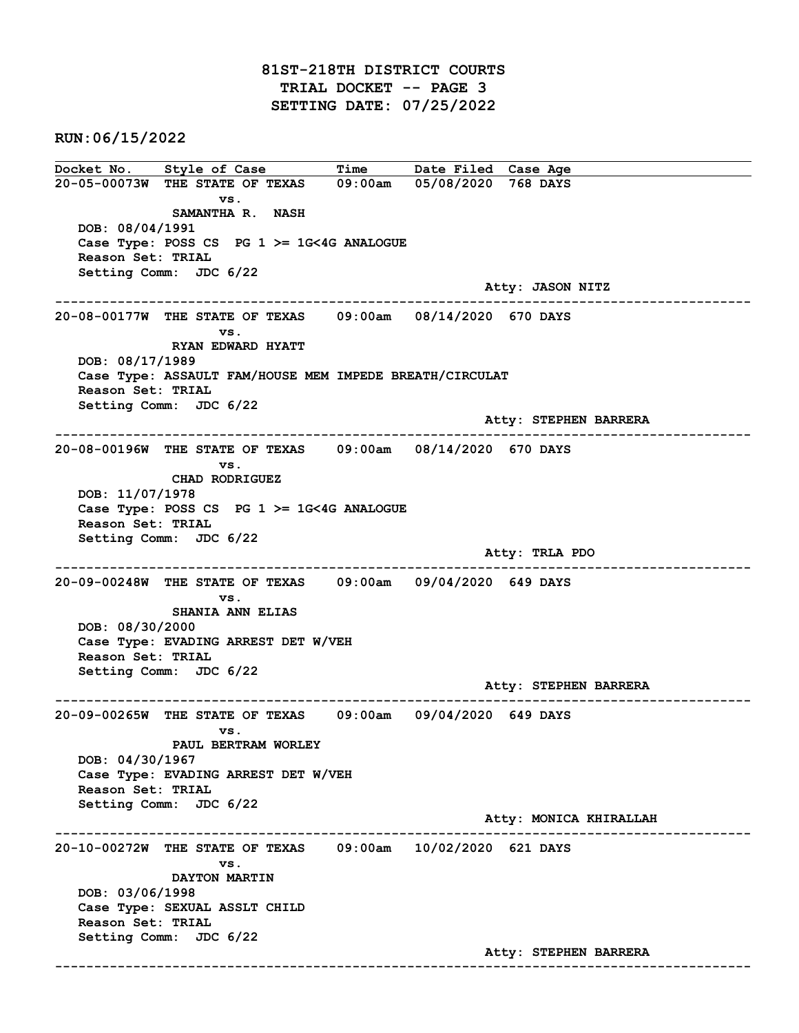RUN:06/15/2022

Docket No. Style of Case Time Date Filed Case Age 20-05-00073W THE STATE OF TEXAS 09:00am 05/08/2020 768 DAYS vs. SAMANTHA R. NASH DOB: 08/04/1991 Case Type: POSS CS PG 1 >= 1G<4G ANALOGUE Reason Set: TRIAL Setting Comm: JDC 6/22 Atty: JASON NITZ ------------------------------------------------------------------------------------------------------------------------ 20-08-00177W THE STATE OF TEXAS 09:00am 08/14/2020 670 DAYS vs. RYAN EDWARD HYATT DOB: 08/17/1989 Case Type: ASSAULT FAM/HOUSE MEM IMPEDE BREATH/CIRCULAT Reason Set: TRIAL Setting Comm: JDC 6/22 Atty: STEPHEN BARRERA ------------------------------------------------------------------------------------------------------------------------ 20-08-00196W THE STATE OF TEXAS 09:00am 08/14/2020 670 DAYS vs. CHAD RODRIGUEZ DOB: 11/07/1978 Case Type: POSS CS PG 1 >= 1G<4G ANALOGUE Reason Set: TRIAL Setting Comm: JDC 6/22 Atty: TRLA PDO ------------------------------------------------------------------------------------------------------------------------ 20-09-00248W THE STATE OF TEXAS 09:00am 09/04/2020 649 DAYS vs. SHANIA ANN ELIAS DOB: 08/30/2000 Case Type: EVADING ARREST DET W/VEH Reason Set: TRIAL Setting Comm: JDC 6/22 Atty: STEPHEN BARRERA ------------------------------------------------------------------------------------------------------------------------ 20-09-00265W THE STATE OF TEXAS 09:00am 09/04/2020 649 DAYS vs. PAUL BERTRAM WORLEY DOB: 04/30/1967 Case Type: EVADING ARREST DET W/VEH Reason Set: TRIAL Setting Comm: JDC 6/22 Atty: MONICA KHIRALLAH ------------------------------------------------------------------------------------------------------------------------ 20-10-00272W THE STATE OF TEXAS 09:00am 10/02/2020 621 DAYS vs. DAYTON MARTIN DOB: 03/06/1998 Case Type: SEXUAL ASSLT CHILD Reason Set: TRIAL Setting Comm: JDC 6/22 Atty: STEPHEN BARRERA ------------------------------------------------------------------------------------------------------------------------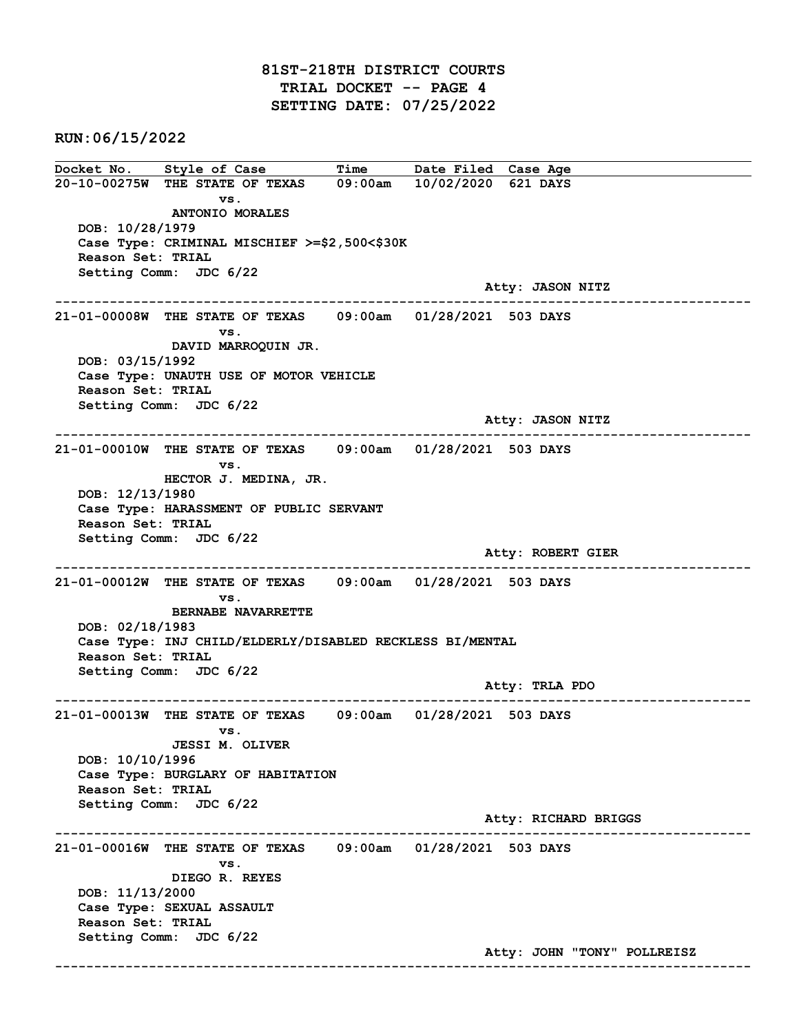## 81ST-218TH DISTRICT COURTS TRIAL DOCKET -- PAGE 4 SETTING DATE: 07/25/2022

RUN:06/15/2022

Docket No. Style of Case Time Date Filed Case Age 20-10-00275W THE STATE OF TEXAS 09:00am 10/02/2020 621 DAYS vs. ANTONIO MORALES DOB: 10/28/1979 Case Type: CRIMINAL MISCHIEF >=\$2,500<\$30K Reason Set: TRIAL Setting Comm: JDC 6/22 Atty: JASON NITZ ------------------------------------------------------------------------------------------------------------------------ 21-01-00008W THE STATE OF TEXAS 09:00am 01/28/2021 503 DAYS vs. DAVID MARROQUIN JR. DOB: 03/15/1992 Case Type: UNAUTH USE OF MOTOR VEHICLE Reason Set: TRIAL Setting Comm: JDC 6/22 Atty: JASON NITZ ------------------------------------------------------------------------------------------------------------------------ 21-01-00010W THE STATE OF TEXAS 09:00am 01/28/2021 503 DAYS vs. HECTOR J. MEDINA, JR. DOB: 12/13/1980 Case Type: HARASSMENT OF PUBLIC SERVANT Reason Set: TRIAL Setting Comm: JDC 6/22 Atty: ROBERT GIER ------------------------------------------------------------------------------------------------------------------------ 21-01-00012W THE STATE OF TEXAS 09:00am 01/28/2021 503 DAYS vs. BERNABE NAVARRETTE DOB: 02/18/1983 Case Type: INJ CHILD/ELDERLY/DISABLED RECKLESS BI/MENTAL Reason Set: TRIAL Setting Comm: JDC 6/22 Atty: TRLA PDO ------------------------------------------------------------------------------------------------------------------------ 21-01-00013W THE STATE OF TEXAS 09:00am 01/28/2021 503 DAYS vs. JESSI M. OLIVER DOB: 10/10/1996 Case Type: BURGLARY OF HABITATION Reason Set: TRIAL Setting Comm: JDC 6/22 Atty: RICHARD BRIGGS ------------------------------------------------------------------------------------------------------------------------ 21-01-00016W THE STATE OF TEXAS 09:00am 01/28/2021 503 DAYS vs. DIEGO R. REYES DOB: 11/13/2000 Case Type: SEXUAL ASSAULT Reason Set: TRIAL Setting Comm: JDC 6/22 Atty: JOHN "TONY" POLLREISZ ------------------------------------------------------------------------------------------------------------------------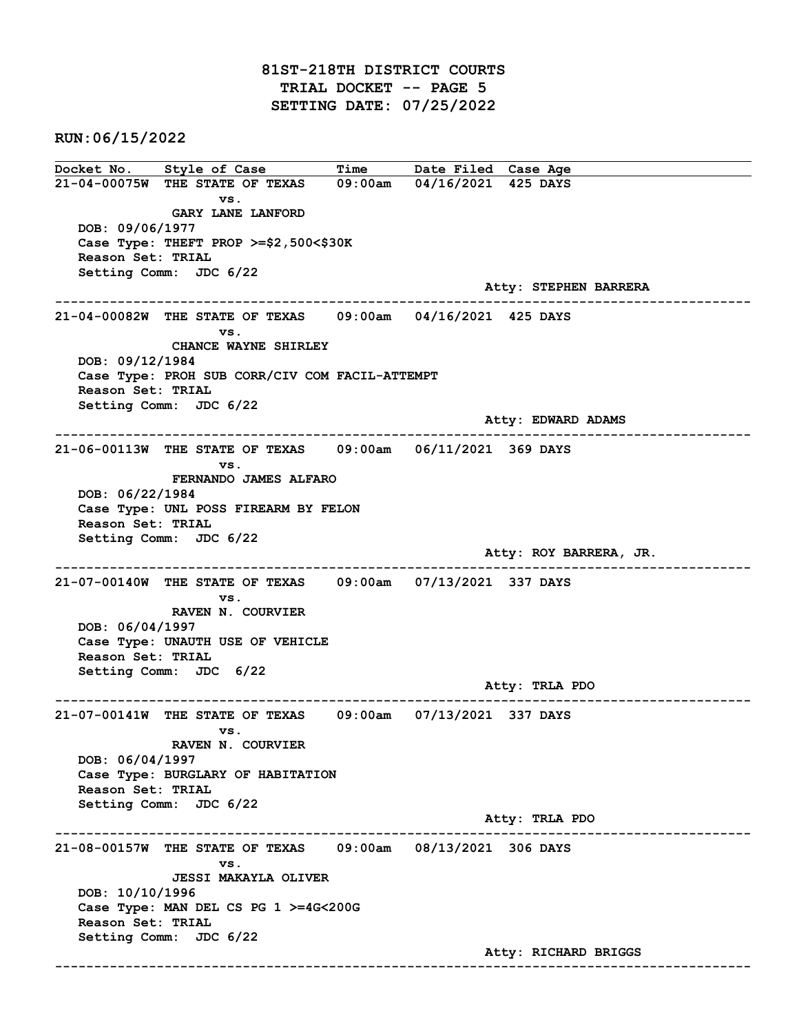## 81ST-218TH DISTRICT COURTS TRIAL DOCKET -- PAGE 5 SETTING DATE: 07/25/2022

RUN:06/15/2022

Docket No. Style of Case Time Date Filed Case Age 21-04-00075W THE STATE OF TEXAS 09:00am 04/16/2021 425 DAYS vs. GARY LANE LANFORD DOB: 09/06/1977 Case Type: THEFT PROP >=\$2,500<\$30K Reason Set: TRIAL Setting Comm: JDC 6/22 Atty: STEPHEN BARRERA ------------------------------------------------------------------------------------------------------------------------ 21-04-00082W THE STATE OF TEXAS 09:00am 04/16/2021 425 DAYS vs. CHANCE WAYNE SHIRLEY DOB: 09/12/1984 Case Type: PROH SUB CORR/CIV COM FACIL-ATTEMPT Reason Set: TRIAL Setting Comm: JDC 6/22 Atty: EDWARD ADAMS ------------------------------------------------------------------------------------------------------------------------ 21-06-00113W THE STATE OF TEXAS 09:00am 06/11/2021 369 DAYS vs. FERNANDO JAMES ALFARO DOB: 06/22/1984 Case Type: UNL POSS FIREARM BY FELON Reason Set: TRIAL Setting Comm: JDC 6/22 Atty: ROY BARRERA, JR. ------------------------------------------------------------------------------------------------------------------------ 21-07-00140W THE STATE OF TEXAS 09:00am 07/13/2021 337 DAYS vs. RAVEN N. COURVIER DOB: 06/04/1997 Case Type: UNAUTH USE OF VEHICLE Reason Set: TRIAL Setting Comm: JDC 6/22 Atty: TRLA PDO ------------------------------------------------------------------------------------------------------------------------ 21-07-00141W THE STATE OF TEXAS 09:00am 07/13/2021 337 DAYS vs. RAVEN N. COURVIER DOB: 06/04/1997 Case Type: BURGLARY OF HABITATION Reason Set: TRIAL Setting Comm: JDC 6/22 Atty: TRLA PDO ------------------------------------------------------------------------------------------------------------------------ 21-08-00157W THE STATE OF TEXAS 09:00am 08/13/2021 306 DAYS vs. JESSI MAKAYLA OLIVER DOB: 10/10/1996 Case Type: MAN DEL CS PG 1 >=4G<200G Reason Set: TRIAL Setting Comm: JDC 6/22 Atty: RICHARD BRIGGS ------------------------------------------------------------------------------------------------------------------------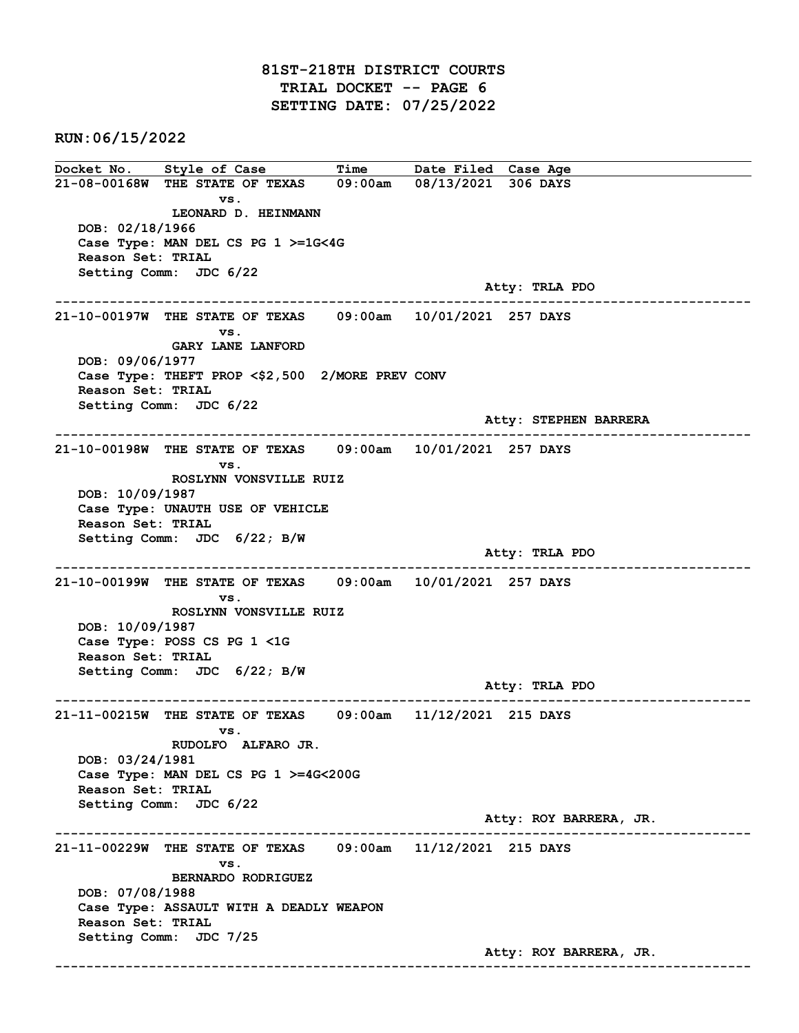## 81ST-218TH DISTRICT COURTS TRIAL DOCKET -- PAGE 6 SETTING DATE: 07/25/2022

RUN:06/15/2022

Docket No. Style of Case Time Date Filed Case Age 21-08-00168W THE STATE OF TEXAS 09:00am 08/13/2021 306 DAYS vs. LEONARD D. HEINMANN DOB: 02/18/1966 Case Type: MAN DEL CS PG 1 >=1G<4G Reason Set: TRIAL Setting Comm: JDC 6/22 Atty: TRLA PDO ------------------------------------------------------------------------------------------------------------------------ 21-10-00197W THE STATE OF TEXAS 09:00am 10/01/2021 257 DAYS vs. GARY LANE LANFORD DOB: 09/06/1977 Case Type: THEFT PROP <\$2,500 2/MORE PREV CONV Reason Set: TRIAL Setting Comm: JDC 6/22 Atty: STEPHEN BARRERA ------------------------------------------------------------------------------------------------------------------------ 21-10-00198W THE STATE OF TEXAS 09:00am 10/01/2021 257 DAYS vs. ROSLYNN VONSVILLE RUIZ DOB: 10/09/1987 Case Type: UNAUTH USE OF VEHICLE Reason Set: TRIAL Setting Comm: JDC 6/22; B/W Atty: TRLA PDO ------------------------------------------------------------------------------------------------------------------------ 21-10-00199W THE STATE OF TEXAS 09:00am 10/01/2021 257 DAYS vs. ROSLYNN VONSVILLE RUIZ DOB: 10/09/1987 Case Type: POSS CS PG 1 <1G Reason Set: TRIAL Setting Comm: JDC 6/22; B/W Atty: TRLA PDO ------------------------------------------------------------------------------------------------------------------------ 21-11-00215W THE STATE OF TEXAS 09:00am 11/12/2021 215 DAYS vs. RUDOLFO ALFARO JR. DOB: 03/24/1981 Case Type: MAN DEL CS PG 1 >=4G<200G Reason Set: TRIAL Setting Comm: JDC 6/22 Atty: ROY BARRERA, JR. ------------------------------------------------------------------------------------------------------------------------ 21-11-00229W THE STATE OF TEXAS 09:00am 11/12/2021 215 DAYS vs. BERNARDO RODRIGUEZ DOB: 07/08/1988 Case Type: ASSAULT WITH A DEADLY WEAPON Reason Set: TRIAL Setting Comm: JDC 7/25 Atty: ROY BARRERA, JR. ------------------------------------------------------------------------------------------------------------------------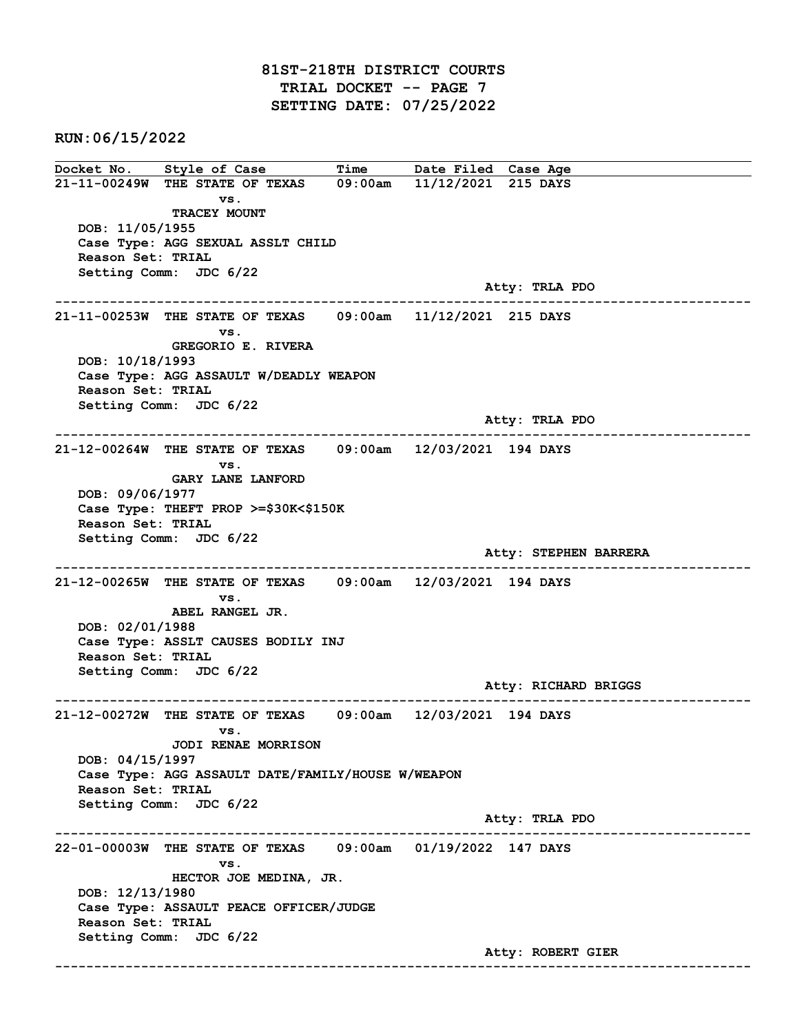## 81ST-218TH DISTRICT COURTS TRIAL DOCKET -- PAGE 7 SETTING DATE: 07/25/2022

RUN:06/15/2022

Docket No. Style of Case Time Date Filed Case Age 21-11-00249W THE STATE OF TEXAS 09:00am 11/12/2021 215 DAYS vs. TRACEY MOUNT DOB: 11/05/1955 Case Type: AGG SEXUAL ASSLT CHILD Reason Set: TRIAL Setting Comm: JDC 6/22 Atty: TRLA PDO ------------------------------------------------------------------------------------------------------------------------ 21-11-00253W THE STATE OF TEXAS 09:00am 11/12/2021 215 DAYS vs. GREGORIO E. RIVERA DOB: 10/18/1993 Case Type: AGG ASSAULT W/DEADLY WEAPON Reason Set: TRIAL Setting Comm: JDC 6/22 Atty: TRLA PDO ------------------------------------------------------------------------------------------------------------------------ 21-12-00264W THE STATE OF TEXAS 09:00am 12/03/2021 194 DAYS vs. GARY LANE LANFORD DOB: 09/06/1977 Case Type: THEFT PROP >=\$30K<\$150K Reason Set: TRIAL Setting Comm: JDC 6/22 Atty: STEPHEN BARRERA ------------------------------------------------------------------------------------------------------------------------ 21-12-00265W THE STATE OF TEXAS 09:00am 12/03/2021 194 DAYS vs. ABEL RANGEL JR. DOB: 02/01/1988 Case Type: ASSLT CAUSES BODILY INJ Reason Set: TRIAL Setting Comm: JDC 6/22 Atty: RICHARD BRIGGS ------------------------------------------------------------------------------------------------------------------------ 21-12-00272W THE STATE OF TEXAS 09:00am 12/03/2021 194 DAYS vs. JODI RENAE MORRISON DOB: 04/15/1997 Case Type: AGG ASSAULT DATE/FAMILY/HOUSE W/WEAPON Reason Set: TRIAL Setting Comm: JDC 6/22 Atty: TRLA PDO ------------------------------------------------------------------------------------------------------------------------ 22-01-00003W THE STATE OF TEXAS 09:00am 01/19/2022 147 DAYS vs. HECTOR JOE MEDINA, JR. DOB: 12/13/1980 Case Type: ASSAULT PEACE OFFICER/JUDGE Reason Set: TRIAL Setting Comm: JDC 6/22 Atty: ROBERT GIER ------------------------------------------------------------------------------------------------------------------------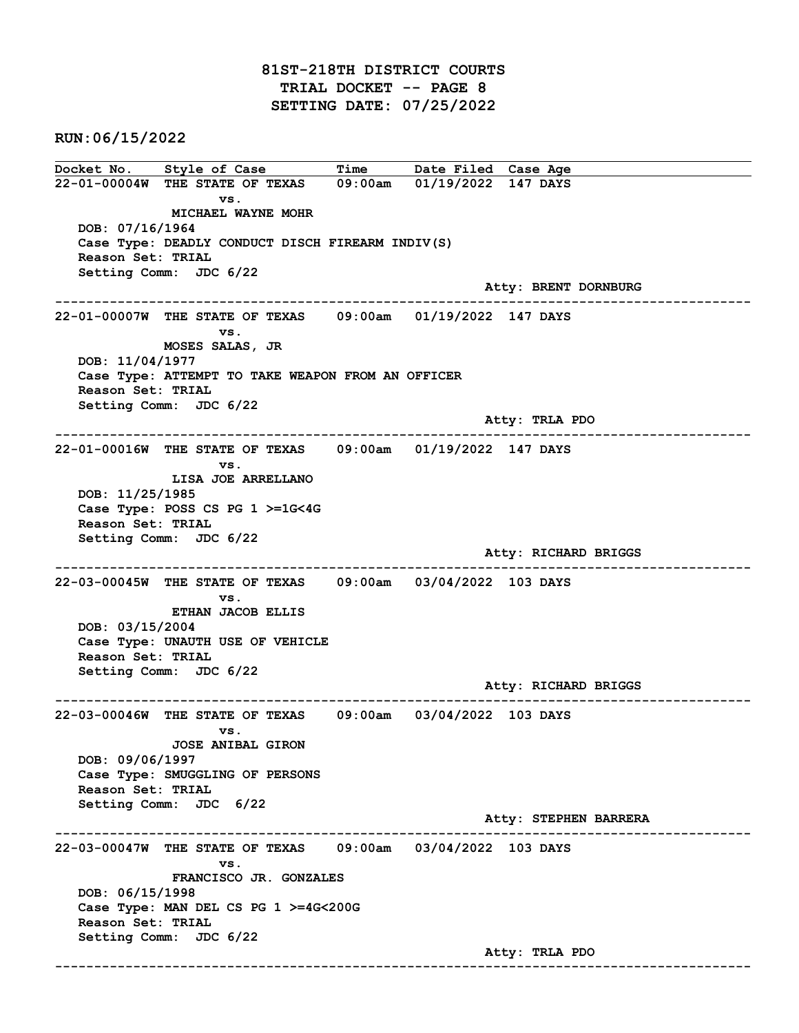RUN:06/15/2022

Docket No. Style of Case Time Date Filed Case Age 22-01-00004W THE STATE OF TEXAS 09:00am 01/19/2022 147 DAYS vs. MICHAEL WAYNE MOHR DOB: 07/16/1964 Case Type: DEADLY CONDUCT DISCH FIREARM INDIV(S) Reason Set: TRIAL Setting Comm: JDC 6/22 Atty: BRENT DORNBURG ------------------------------------------------------------------------------------------------------------------------ 22-01-00007W THE STATE OF TEXAS 09:00am 01/19/2022 147 DAYS vs. MOSES SALAS, JR DOB: 11/04/1977 Case Type: ATTEMPT TO TAKE WEAPON FROM AN OFFICER Reason Set: TRIAL Setting Comm: JDC 6/22 Atty: TRLA PDO ------------------------------------------------------------------------------------------------------------------------ 22-01-00016W THE STATE OF TEXAS 09:00am 01/19/2022 147 DAYS vs. LISA JOE ARRELLANO DOB: 11/25/1985 Case Type: POSS CS PG 1 >=1G<4G Reason Set: TRIAL Setting Comm: JDC 6/22 Atty: RICHARD BRIGGS ------------------------------------------------------------------------------------------------------------------------ 22-03-00045W THE STATE OF TEXAS 09:00am 03/04/2022 103 DAYS vs. ETHAN JACOB ELLIS DOB: 03/15/2004 Case Type: UNAUTH USE OF VEHICLE Reason Set: TRIAL Setting Comm: JDC 6/22 Atty: RICHARD BRIGGS ------------------------------------------------------------------------------------------------------------------------ 22-03-00046W THE STATE OF TEXAS 09:00am 03/04/2022 103 DAYS vs. JOSE ANIBAL GIRON DOB: 09/06/1997 Case Type: SMUGGLING OF PERSONS Reason Set: TRIAL Setting Comm: JDC 6/22 Atty: STEPHEN BARRERA ------------------------------------------------------------------------------------------------------------------------ 22-03-00047W THE STATE OF TEXAS 09:00am 03/04/2022 103 DAYS vs. FRANCISCO JR. GONZALES DOB: 06/15/1998 Case Type: MAN DEL CS PG 1 >=4G<200G Reason Set: TRIAL Setting Comm: JDC 6/22 Atty: TRLA PDO ------------------------------------------------------------------------------------------------------------------------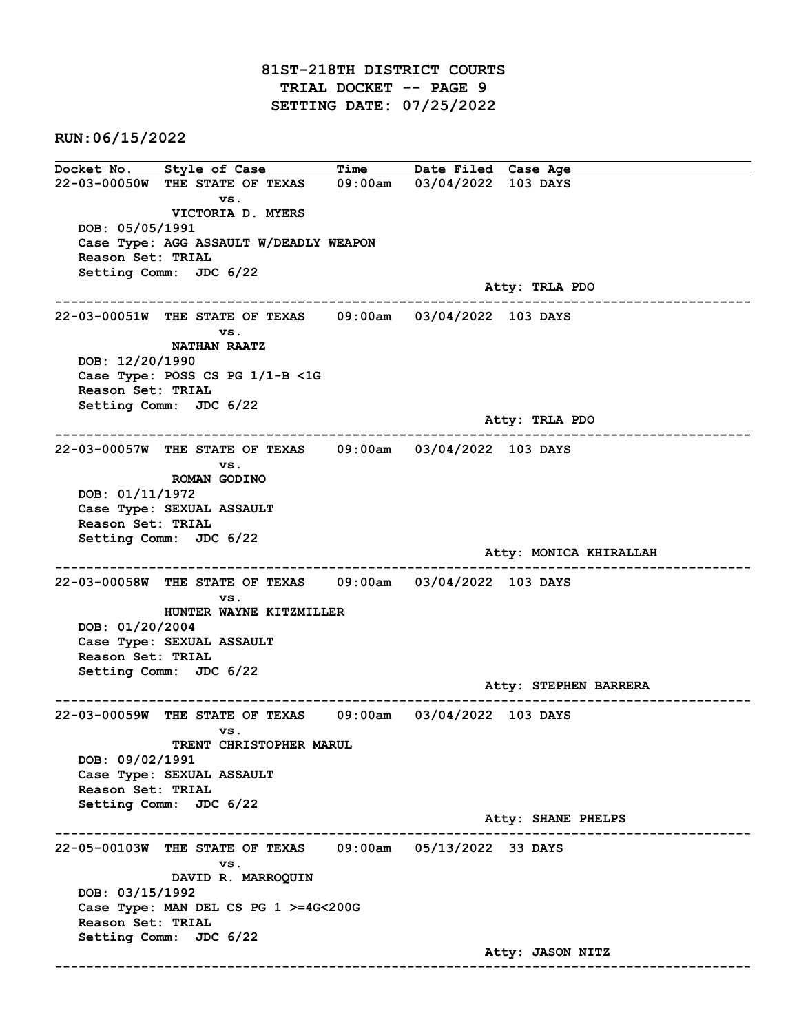## 81ST-218TH DISTRICT COURTS TRIAL DOCKET -- PAGE 9 SETTING DATE: 07/25/2022

RUN:06/15/2022

Docket No. Style of Case Time Date Filed Case Age 22-03-00050W THE STATE OF TEXAS 09:00am 03/04/2022 103 DAYS vs. VICTORIA D. MYERS DOB: 05/05/1991 Case Type: AGG ASSAULT W/DEADLY WEAPON Reason Set: TRIAL Setting Comm: JDC 6/22 Atty: TRLA PDO ------------------------------------------------------------------------------------------------------------------------ 22-03-00051W THE STATE OF TEXAS 09:00am 03/04/2022 103 DAYS vs. NATHAN RAATZ DOB: 12/20/1990 Case Type: POSS CS PG 1/1-B <1G Reason Set: TRIAL Setting Comm: JDC 6/22 Atty: TRLA PDO ------------------------------------------------------------------------------------------------------------------------ 22-03-00057W THE STATE OF TEXAS 09:00am 03/04/2022 103 DAYS vs. ROMAN GODINO DOB: 01/11/1972 Case Type: SEXUAL ASSAULT Reason Set: TRIAL Setting Comm: JDC 6/22 Atty: MONICA KHIRALLAH ------------------------------------------------------------------------------------------------------------------------ 22-03-00058W THE STATE OF TEXAS 09:00am 03/04/2022 103 DAYS vs. HUNTER WAYNE KITZMILLER DOB: 01/20/2004 Case Type: SEXUAL ASSAULT Reason Set: TRIAL Setting Comm: JDC 6/22 Atty: STEPHEN BARRERA ------------------------------------------------------------------------------------------------------------------------ 22-03-00059W THE STATE OF TEXAS 09:00am 03/04/2022 103 DAYS vs. TRENT CHRISTOPHER MARUL DOB: 09/02/1991 Case Type: SEXUAL ASSAULT Reason Set: TRIAL Setting Comm: JDC 6/22 Atty: SHANE PHELPS ------------------------------------------------------------------------------------------------------------------------ 22-05-00103W THE STATE OF TEXAS 09:00am 05/13/2022 33 DAYS vs. DAVID R. MARROQUIN DOB: 03/15/1992 Case Type: MAN DEL CS PG 1 >=4G<200G Reason Set: TRIAL Setting Comm: JDC 6/22 Atty: JASON NITZ ------------------------------------------------------------------------------------------------------------------------